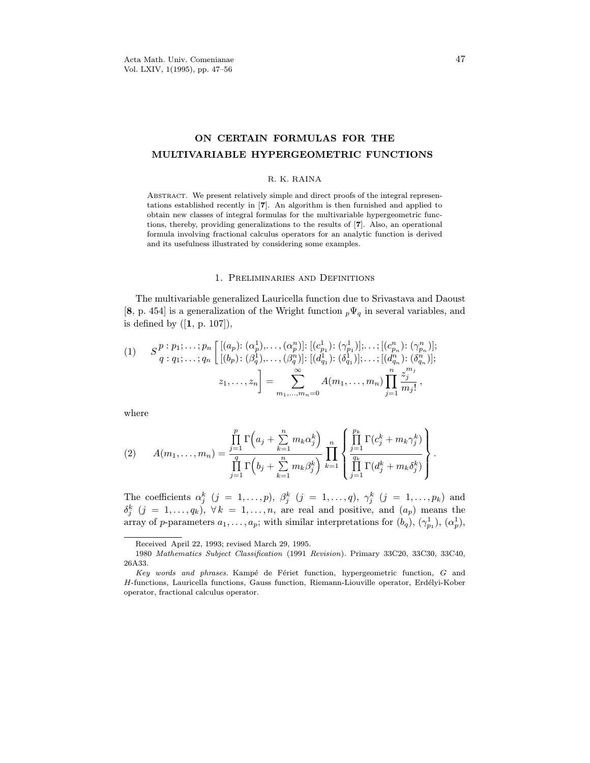# ON CERTAIN FORMULAS FOR THE<br>MULTIVARIABLE HYPERGEOMETRIC FUNCTIONS

### R. K. RAINA

ABSTRACT. We present relatively simple and direct proofs of the integral representations established recently in [7]. An algorithm is then furnished and applied to obtain new classes of integral formulas for the multivariable hypergeometric functions, thereby, providing generalizations to the results of  $[7]$ . Also, an operational formula involving fractional calculus operators for an analytic function is derived  $f(x)$  it usefulness illustrated by considering some examples and its usefulness illustrated by considering some examples.

 $T<sub>1</sub>$  The multiple generalized and  $\sigma$  the Weight function due to see and regular and  $\sigma$  $[3, p \cdot 5]$  is a generalization of the Wright function  $p - q$  in several variables, and is defined by  $([1, p. 107]),$ 

(1) 
$$
S_{q}^{p} : p_{1}; \ldots; p_{n} \begin{bmatrix} [(a_{p}) : (\alpha_{p}^{1}), \ldots, (\alpha_{p}^{n})] : [(c_{p_{1}}^{1}) : (\gamma_{p_{1}}^{1})] ; \ldots; [(c_{p_{n}}^{n}) : (\gamma_{p_{n}}^{n})] ; \\ [(b_{p}) : (\beta_{q}^{1}), \ldots, (\beta_{q}^{n})] : [(d_{q_{1}}^{1}) : (\delta_{q_{1}}^{1})] ; \ldots; [(d_{q_{n}}^{n}) : (\delta_{q_{n}}^{n})] ; \\ z_{1}, \ldots, z_{n} \end{bmatrix} = \sum_{m_{1}, \ldots, m_{n}=0}^{\infty} A(m_{1}, \ldots, m_{n}) \prod_{j=1}^{n} \frac{z_{j}^{m_{j}}}{m_{j}!},
$$

(2) 
$$
A(m_1, \ldots, m_n) = \frac{\prod_{j=1}^p \Gamma\left(a_j + \sum_{k=1}^n m_k \alpha_j^k\right)}{\prod_{j=1}^q \Gamma\left(b_j + \sum_{k=1}^n m_k \beta_j^k\right)} \prod_{k=1}^n \left\{\frac{\prod_{j=1}^{p_k} \Gamma(c_j^k + m_k \gamma_j^k)}{\prod_{j=1}^{q_k} \Gamma(d_j^k + m_k \delta_j^k)}\right\}
$$

The coefficients  $\alpha_j$  ( $j = 1, ..., p$ ),  $\beta_j$  ( $j = 1, ..., q$ ),  $\gamma_j$  ( $j = 1, ..., p_k$ ) and<br>  $\delta^k$  (i = 1, a),  $\forall k = 1$ , as are real and positive, and (a) means the  $\frac{\partial}{\partial x}$  $j \rightarrow \pm i \hbar$ ,  $j$  and  $r$  is  $\pm i \hbar$ ,  $j$  is  $\pm i$ ,  $\pm i$ ,  $\pm i$ ,  $\pm i$ ,  $\pm i$ ,  $\pm i$ ,  $\pm i$ ,  $\pm i$ ,  $\pm i$ ,  $\pm i$ ,  $\pm i$ ,  $\pm i$ ,  $\pm i$ ,  $\pm i$ ,  $\pm i$ ,  $\pm i$ ,  $\pm i$ ,  $\pm i$ ,  $\pm i$ ,  $\pm i$ ,  $\pm i$ ,  $\pm i$ ,  $\pm i$ ,  $\pm i$ ,  $\pm i$ , array of p-parameters  $a_1, \ldots, a_p$ ; with similar interpretations for  $(\partial_q), (\gamma_{p_1}^-, (\alpha_p^-, \beta_p^+))$ 

<sup>1080</sup> Mathematics, Subject Classification (1001) 1980 Mathematics Subject Classification (1991 Revision). Primary 33C20, 33C30, 33C40,

Key words and phrases. Kampé de Fériet function, hypergeometric function, G and H-functions, Lauricella functions, Gauss function, Riemann-Liouville operator, Erdélyi-Kober H-functions, Lauricella functions, Gauss function, Riemann-Liouville operator, Erd´elyi-Kober  $\mathbf{r}$  and fractional calculus operator.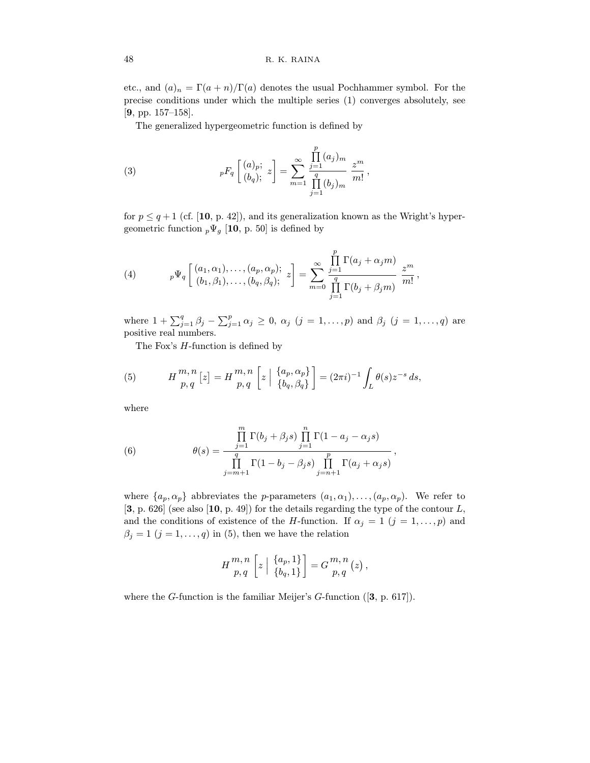$\sum_{i=1}^{\infty}$  and  $\sum_{i=1}^{\infty}$  (a) denotes the usual Pochhammer symbol. For the usual  $\sum_{i=1}^{\infty}$  $p_1$  precise conditions under which the multiple series (1) converges absolutely, see

. <sub>[99]</sub>. 177–157–158].<br>The sensualist The generalized hypergeometric function is defined by

(3) 
$$
{}_{p}F_{q}\left[\begin{array}{c} (a)_{p};\\ (b_{q}); \end{array}z\right]=\sum_{m=1}^{\infty}\frac{\prod\limits_{j=1}^{p}(a_{j})_{m}}{\prod\limits_{j=1}^{q}(b_{j})_{m}}\frac{z^{m}}{m!},
$$

for  $p \leq q+1$  (cf. [10, p. 42]), and its generalization known as the Wright's hypergeometric function  $_p\Psi_g$  [10, p. 50] is defined by

(4) 
$$
{}_{p}\Psi_{q}\left[\begin{array}{cc} (a_{1},\alpha_{1}),\ldots,(a_{p},\alpha_{p});\\ (b_{1},\beta_{1}),\ldots,(b_{q},\beta_{q}); \end{array}z\right]=\sum_{m=0}^{\infty}\frac{\prod\limits_{j=1}^{p}\Gamma(a_{j}+\alpha_{j}m)}{\prod\limits_{j=1}^{q}\Gamma(b_{j}+\beta_{j}m)}\frac{z^{m}}{m!},
$$

where  $1 + \sum_{j=1}^{q} \beta_j - \sum_{j=1}^{p} \alpha_j \ge 0$ ,  $\alpha_j$   $(j = 1, ..., p)$  and  $\beta_j$   $(j = 1, ..., q)$  are

positive real numbers.<br>The Ferr's II functi  $T_{\rm eff}$  H-function is defined by

(5) 
$$
H_{p,q}^{m,n}[z] = H_{p,q}^{m,n}\left[z \mid \frac{\{a_p, \alpha_p\}}{\{b_q, \beta_q\}}\right] = (2\pi i)^{-1} \int_L \theta(s) z^{-s} ds,
$$

where

(6) 
$$
\theta(s) = \frac{\prod\limits_{j=1}^{m} \Gamma(b_j + \beta_j s) \prod\limits_{j=1}^{n} \Gamma(1 - a_j - \alpha_j s)}{\prod\limits_{j=m+1}^{q} \Gamma(1 - b_j - \beta_j s) \prod\limits_{j=n+1}^{p} \Gamma(a_j + \alpha_j s)},
$$

where  $\{a_p, \alpha_p\}$  abbreviates the *p*-parameters  $(a_1, \alpha_1), \ldots, (a_p, \alpha_p)$ . We refer to [3, p. 626] (see also [10, p. 49]) for the details regarding the type of the contour *L*, and the conditions of existence of the *H*-function. If  $\alpha_j = 1$   $(j = 1, \ldots, p)$  and  $a = 1$  ( $i = 1, ..., n$ ) in (5), then we have the relation.  $\mathcal{S}_{j}$  =  $\mathcal{J}$  =, ...,  $\mathbf{q}_{j}$  in (5), then we have the relations

$$
H_{p,q}^{m,n}\left[z \mid \{a_p,1\}\right] = G_{p,q}^{m,n}(z),
$$

where the G-function is the familiar Meijer's G-function  $([3, p. 617])$ .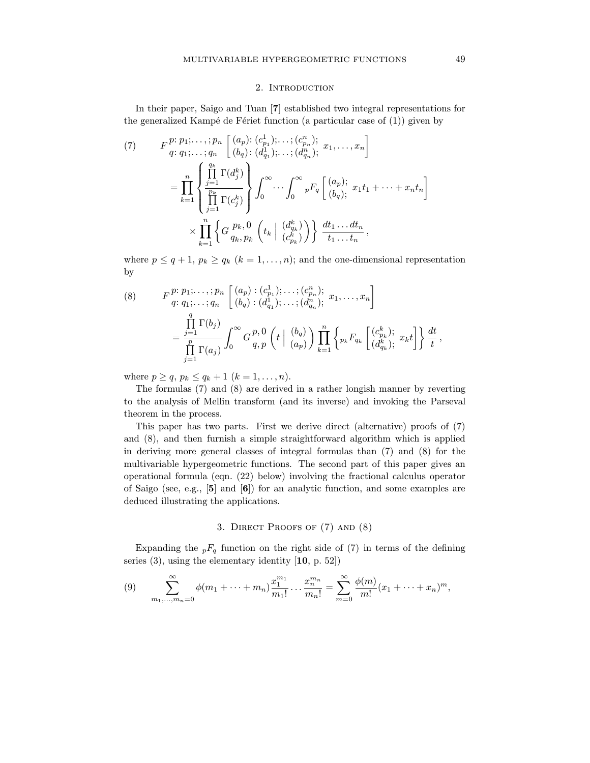In their paper, saigo and Tuan [7] established two integers representations for the generalized Kamp $\sum_{i=1}^n$  and  $\sum_{i=1}^n$  and  $\sum_{i=1}^n$  and  $\sum_{i=1}^n$ 

(7) 
$$
F_{q: q_1; \dots; q_n}^{p: p_1; \dots; p_n} \left[ (a_p) : (c_{p_1}^1); \dots; (c_{p_n}^n); x_1, \dots, x_n \right]
$$

$$
= \prod_{k=1}^n \left\{ \prod_{j=1}^{q_k} \Gamma(d_j^k) \right\} \int_0^\infty \dots \int_0^\infty {}_pF_q \left[ (a_p); x_1 t_1 + \dots + x_n t_n \right]
$$

$$
\times \prod_{k=1}^n \left\{ G_{q_k, p_k}^{p_k, 0} \left( t_k \mid {d_{q_k}^k \choose d_{q_k}} \right) \right\} \frac{dt_1 \dots dt_n}{t_1 \dots t_n},
$$

where  $p \le q + 1$ ,  $p_k \ge q_k$   $(k = 1, ..., n)$ ; and the one-dimensional representation by  $\ddot{\phantom{0}}$ 

(8) 
$$
F_{q: q_1; \ldots; q_n}^{p: p_1; \ldots; p_n} \left[ \begin{array}{c} (a_p) : (c_{p_1}^1); \ldots; (c_{p_n}^n); \\ (b_q) : (d_{q_1}^1); \ldots; (d_{q_n}^n); \end{array} x_1, \ldots, x_n \right]
$$

$$
= \frac{\prod_{j=1}^q \Gamma(b_j)}{\prod_{j=1}^p \Gamma(a_j)} \int_0^\infty G_{q, p}^{p, 0} \left( t \mid \begin{array}{c} (b_q) \\ (a_p) \end{array} \right) \prod_{k=1}^n \left\{ p_k F_{q_k} \left[ \begin{array}{c} (c_{p_k}^k); \\ (d_{q_k}^k); \end{array} x_k t \right] \right\} \frac{dt}{t},
$$

where  $p \ge q$ ,  $p_k \le q_k + 1$   $(k = 1, ..., n)$ .<br>The formulas (7) and (8) are derived in a rather longish manner by reverting  $\frac{1}{\sqrt{2}}$  are derived in a rather than  $\frac{1}{\sqrt{2}}$  and  $\frac{1}{\sqrt{2}}$  and  $\frac{1}{\sqrt{2}}$  rather the Depetrol to the analysis of Mellin transform (and its inverse) and invoking the Parseval

theorem in the process.<br>This paper has two parts. First we derive direct (alternative) proofs of (7) and  $(8)$ , and then furnish a simple straightforward algorithm which is applied in deriving more general classes of integral formulas than  $(7)$  and  $(8)$  for the multivariable hypergeometric functions. The second part of this paper gives an operational formula (eqn.  $(22)$  below) involving the fractional calculus operator of Saigo (see, e.g.,  $\mathfrak{b}$ ) and  $\mathfrak{b}$ ) for an analytic function, and some examples are  $\alpha$  satisfies  $\beta$ ,  $\beta$ ,  $\beta$ ,  $\beta$ ,  $\beta$ ,  $\beta$ ,  $\beta$ ,  $\beta$ ,  $\beta$ ,  $\beta$ ,  $\beta$ ,  $\beta$ ,  $\beta$ ,  $\beta$ ,  $\beta$ ,  $\beta$ ,  $\beta$ ,  $\beta$ ,  $\beta$ ,  $\beta$ ,  $\beta$ ,  $\beta$ ,  $\beta$ ,  $\beta$ ,  $\beta$ ,  $\beta$ ,  $\beta$ ,  $\beta$ ,  $\beta$ ,  $\beta$ ,  $\beta$ ,  $\beta$ ,  $\beta$ ,  $\beta$ ,  $\$ deduced illustrating the applications.

### 3. Direct Proofs of (7) and (8)

 $\sum_{i=1}^{\infty}$  function on the right side of (7) in terms of the defining  $s \leftarrow \left(1,0, \frac{1}{2}\right)$ 

(9) 
$$
\sum_{m_1,\dots,m_n=0}^{\infty} \phi(m_1+\dots+m_n) \frac{x_1^{m_1}}{m_1!} \dots \frac{x_n^{m_n}}{m_n!} = \sum_{m=0}^{\infty} \frac{\phi(m)}{m!} (x_1+\dots+x_n)^m,
$$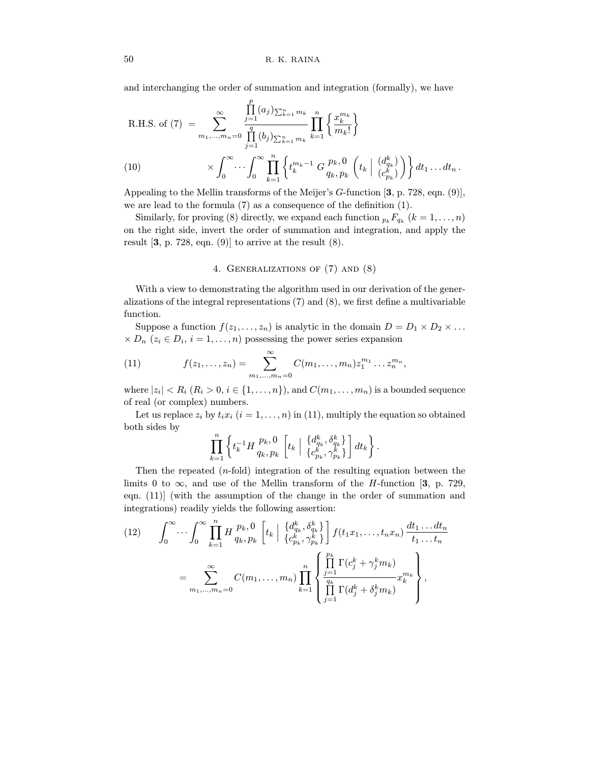and interchanging the order of summation and integration (formally), we have

$$
\text{R.H.S. of (7)} = \sum_{m_1, \dots, m_n=0}^{\infty} \frac{\prod_{j=1}^{p} (a_j) \sum_{k=1}^n m_k}{\prod_{j=1}^{q} (b_j) \sum_{k=1}^n m_k} \prod_{k=1}^n \left\{ \frac{x_k^{m_k}}{m_k!} \right\}
$$
\n
$$
\times \int_0^{\infty} \cdots \int_0^{\infty} \prod_{k=1}^n \left\{ t_k^{m_k-1} G_{q_k, p_k}^{p_k, 0} \left( t_k \mid \frac{(d_k^k)}{(c_{p_k}^k)} \right) \right\} dt_1 \dots dt_n.
$$

Appealing to the Mellin transforms of the Meijer's *G*-function [3, p. 728, eqn. (9)], we are lead to the formula (7) as a consequence of the definition (1).

Similarly, for proving (8) directly, we expand each function  $p_k F_{q_k}$   $(k = 1, \ldots, n)$ on the right side, invert the order of summation and integration, and apply the recult  $\begin{bmatrix} 9 & 798 & 600 \\ 0 & 300 & 0 \end{bmatrix}$  to summation at the recult  $\begin{bmatrix} 9 \end{bmatrix}$ result  $[3, p. 728, \frac{p}{211}, \frac{p}{211}, \frac{p}{211}, \frac{p}{211}, \frac{p}{211}, \frac{p}{211}, \frac{p}{211}, \frac{p}{211}, \frac{p}{211}, \frac{p}{211}, \frac{p}{211}, \frac{p}{211}, \frac{p}{211}, \frac{p}{211}, \frac{p}{211}, \frac{p}{211}, \frac{p}{211}, \frac{p}{211}, \frac{p}{211}, \frac{p}{211}, \frac{p}{211}, \frac{p}{211}, \frac{p}{$ 

### 4. Generalizations of (7) and (8)

 $\frac{1}{\sqrt{2}}$  view to demonstration of the algorithm used in  $\frac{1}{\sqrt{2}}$  and  $\frac{1}{\sqrt{2}}$  and  $\frac{1}{\sqrt{2}}$  are function of multipeniphle alizations of the integral representations  $(0)$  and  $(8)$ , we first define a multivariable function.<br>Suppose a function  $f(z_1,...,z_n)$  is analytic in the domain  $D = D_1 \times D_2 \times ...$ 

 $S_n$   $\left\{x \in D, i = 1, \ldots, n\right\}$  is analytic in the domain  $D_n(x) \in D$  ,  $i = 1, \ldots, n$  $\mathbb{P}^{\{x, y\}} = \mathbb{P}^{\{x, y\}}$  is the power series expansion of power series expansion of power series expansion of  $\mathbb{P}^{\{x, y\}}$ 

(11) 
$$
f(z_1,...,z_n) = \sum_{m_1,...,m_n=0}^{\infty} C(m_1,...,m_n) z_1^{m_1} ... z_n^{m_n},
$$

where  $|z_i| < R_i$   $(R_i > 0, i \in \{1, ..., n\})$ , and  $C(m_1, ..., m_n)$  is a bounded sequence of real (or complex) numbers.

 $\sigma$  real (or complete) numbers.  $\mathcal{L}_{\text{F}}$  is a superior  $\mathcal{L}_{\text{F}}$  (i.e.,  $\mathcal{L}_{\text{F}}$  ), i.e.,  $\mathcal{L}_{\text{F}}$  ,  $\mathcal{L}_{\text{F}}$  ,  $\mathcal{L}_{\text{F}}$  ,  $\mathcal{L}_{\text{F}}$  ,  $\mathcal{L}_{\text{F}}$  ,  $\mathcal{L}_{\text{F}}$  ,  $\mathcal{L}_{\text{F}}$  ,  $\mathcal{L}_{\text{F}}$  ,  $\mathcal{L}_{\text{F}}$  ,  $\mathcal{$  $\mathbf{b}$  sides by

$$
\prod_{k=1}^n\left\{t_k^{-1}H\frac{p_k,0}{q_k,p_k}\left[t_k\bigm| \begin{array}{c}\{d_{q_k}^k,\delta_{q_k}^k\}\\\{c_{p_k}^k,\gamma_{p_k}^k\}\end{array}\right]\right\}.
$$

Then the repeated  $(n$ -fold) integration of the resulting equation between the limits 0 to  $\infty$ , and use of the Mellin transform of the *H*-function [3, p. 729, eqn.  $(11)$  (with the assumption of the change in the order of summation and eque (11)] (with the assumption of the change in the charge is summation and  $\sum_{i=1}^{n}$  readily  $\sum_{i=1}^{n}$ 

(12) 
$$
\int_0^{\infty} \cdots \int_0^{\infty} \prod_{k=1}^n H \frac{p_k, 0}{q_k, p_k} \left[ t_k \mid \frac{\{d_{q_k}^k, \delta_{q_k}^k\}}{\{c_{p_k}^k, \gamma_{p_k}^k\}} \right] f(t_1 x_1, \ldots, t_n x_n) \frac{dt_1 \ldots dt_n}{t_1 \ldots t_n}
$$

$$
= \sum_{m_1, \ldots, m_n=0}^{\infty} C(m_1, \ldots, m_n) \prod_{k=1}^n \left\{ \frac{\prod_{j=1}^{p_k} \Gamma(c_j^k + \gamma_j^k m_k)}{\prod_{j=1}^{q_k} \Gamma(d_j^k + \delta_j^k m_k)} x_k^{m_k} \right\},
$$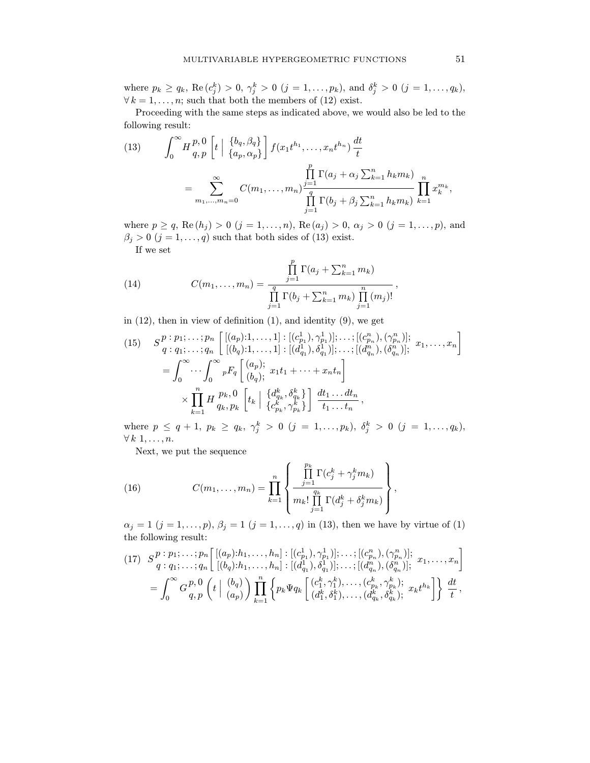where  $p_k \ge q_k$ ,  $\text{Re}(c_j) > 0$ ,  $\gamma_j > 0$   $(j = 1, ..., p_k)$ , and  $o_j > 0$   $(j = 1, ..., q_k)$ ,<br> $\forall k = 1$  are such that both the prophete of (12) oviet

 $P_{\text{recooding with the same stream and located above, we}$ Proceeding with the same steps as indicated above, we would also be led to the following result:

(13) 
$$
\int_0^{\infty} H_{q,p}^{p,0} \left[ t \mid \frac{\{b_q, \beta_q\}}{\{a_p, \alpha_p\}} \right] f(x_1 t^{h_1}, \dots, x_n t^{h_n}) \frac{dt}{t}
$$

$$
= \sum_{m_1, \dots, m_n=0}^{\infty} C(m_1, \dots, m_n) \frac{\prod_{j=1}^p \Gamma(a_j + \alpha_j \sum_{k=1}^n h_k m_k)}{\prod_{j=1}^q \Gamma(b_j + \beta_j \sum_{k=1}^n h_k m_k)} \prod_{k=1}^n x_k^{m_k},
$$

 $\theta \ge 0$  (i = 1, ... . . . . ) such that both gides of (12), and the (a) and  $\theta$  $\mathbb{F}$   $\mathbb{F}$   $\mathbb{F}$   $\mathbb{F}$   $\mathbb{F}$   $\mathbb{F}$   $\mathbb{F}$   $\mathbb{F}$   $\mathbb{F}$   $\mathbb{F}$   $\mathbb{F}$   $\mathbb{F}$   $\mathbb{F}$   $\mathbb{F}$   $\mathbb{F}$   $\mathbb{F}$   $\mathbb{F}$   $\mathbb{F}$   $\mathbb{F}$   $\mathbb{F}$   $\mathbb{F}$   $\mathbb{F}$   $\mathbb{F}$   $\mathbb{F}$   $\mathbb{$ If we set

(14) 
$$
C(m_1, ..., m_n) = \frac{\prod_{j=1}^{p} \Gamma(a_j + \sum_{k=1}^{n} m_k)}{\prod_{j=1}^{q} \Gamma(b_j + \sum_{k=1}^{n} m_k) \prod_{j=1}^{n} (m_j)!}
$$

in (12), then in view of definition (1), and identity (9), we get

(15) 
$$
S_{q}^{p} : p_{1}; \ldots; p_{n} \left[ [(a_{p}) : 1, \ldots, 1] : [(c_{p_{1}}^{1}, \gamma_{p_{1}}^{1})] ; \ldots; [(c_{p_{n}}^{n}, (\gamma_{p_{n}}^{n})] ; a_{1}, \ldots, a_{n} \right]
$$

$$
= \int_{0}^{\infty} \cdots \int_{0}^{\infty} {}_{p}F_{q} \left[ (b_{q}) : 1, \ldots, 1 \right] : [(d_{q_{1}}^{1}, \delta_{q_{1}}^{1})] ; \ldots; [(d_{q_{n}}^{n}), (\delta_{q_{n}}^{n})] ; a_{1}, \ldots, a_{n} \right]
$$

$$
\times \prod_{k=1}^{n} H_{q_{k}, p_{k}}^{p_{k}, 0} \left[ t_{k} \mid \left\{ d_{q_{k}}^{k}, \delta_{q_{k}}^{k} \right\} \right] \frac{dt_{1} \ldots dt_{n}}{t_{1} \ldots t_{n}},
$$

where  $p \le q + 1$ ,  $p_k \ge q_k$ ,  $\gamma_j > 0$   $(j = 1, ..., p_k)$ ,  $o_j > 0$   $(j = 1, ..., q_k)$ ,

 $\overline{N}_{\text{out}}$   $\overline{w}_{\text{out}}$  $\mathbf{r}$  we put the sequence put the sequence of  $\mathbf{r}$ 

(16) 
$$
C(m_1, \ldots, m_n) = \prod_{k=1}^n \left\{ \frac{\prod_{j=1}^{p_k} \Gamma(c_j^k + \gamma_j^k m_k)}{m_k! \prod_{j=1}^{q_k} \Gamma(d_j^k + \delta_j^k m_k)} \right\},
$$

 $\alpha_j = 1$   $(j = 1, ..., p), \beta_j = 1$   $(j = 1, ..., q)$  in (13), then we have by virtue of (1) the following result:

$$
(17) \quad S_{q}^{p} : p_{1}; \ldots; p_{n} \left[ [(a_{p}) : h_{1}, \ldots, h_{n}] : [(c_{p_{1}}^{1}), \gamma_{p_{1}}^{1})]; \ldots; [(c_{p_{n}}^{n}), (\gamma_{p_{n}}^{n})]; \ x_{1}, \ldots, x_{n} \right] = \int_{0}^{\infty} G_{q, p}^{p, 0} \left( t \mid {b_{q}} \choose{a_{p}} \right) \prod_{k=1}^{n} \left\{ p_{k} \Psi q_{k} \left[ (c_{1}^{k}, \gamma_{1}^{k}), \ldots; (c_{p_{k}}^{k}, \gamma_{p_{k}}^{k}); \ x_{k} t^{h_{k}} \right] \right\} \frac{dt}{t},
$$

,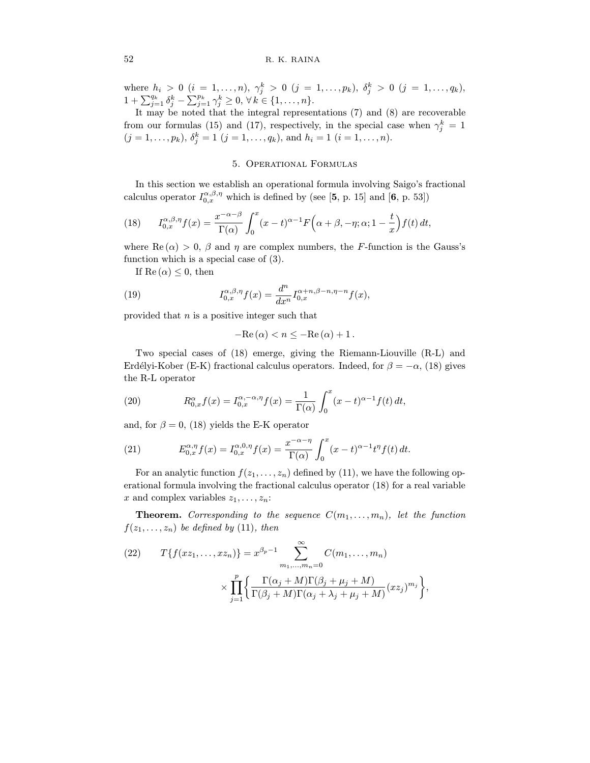where  $n_i > 0$  ( $i = 1, ..., n$ ),  $\gamma_j > 0$  ( $j = 1, ..., p_k$ ),  $\sigma_j > 0$  ( $j = 1, ..., q_k$ ),<br>  $1 + \sum_{j=1}^{q_k} \delta_j^k - \sum_{j=1}^{p_k} \gamma_j^k \ge 0$ ,  $\forall k \in \{1, ..., n\}$ .<br>
It move be noted that the integral representations (7) and (8) are receiverable

It may be noted that the integral representations (7) and (8) are recoverable from our formulas (15) and (17), respectively, in the special case when  $\gamma_j$ <br> $(i-1, ..., k-1 (i-1, ..., k-1 (i-1, ..., k-1)$  $j =$  $(j = 1, \ldots, p_k), \, o_j = 1 \; (j = 1, \ldots, q_k), \, \text{and} \; n_i = 1 \; (i = 1, \ldots, n).$ 

### 5. Operational Formulas

gives enter  $I^{\alpha,\beta,\eta}$  which is defined by (see [5, p. 15] and [6, p. 52]) calculus operator  $I_{0,x}^{\pi,\pi,\eta}$  which is defined by (see [5, p. 15] and [6, p. 53])

(18) 
$$
I_{0,x}^{\alpha,\beta,\eta}f(x) = \frac{x^{-\alpha-\beta}}{\Gamma(\alpha)} \int_0^x (x-t)^{\alpha-1} F\left(\alpha+\beta,-\eta;\alpha;1-\frac{t}{x}\right) f(t) dt,
$$

where Re  $(\alpha) > 0$ ,  $\beta$  and  $\eta$  are complex numbers, the *F*-function is the Gauss's function which is a special case of (3). Final which is a special case of (3).

 $\hat{I}(\alpha) = \alpha$ , then

(19) 
$$
I_{0,x}^{\alpha,\beta,\eta}f(x) = \frac{d^n}{dx^n} I_{0,x}^{\alpha+n,\beta-n,\eta-n}f(x),
$$

provided that n is a positive integer such that

$$
-\mathrm{Re}\left(\alpha\right)
$$

 $\frac{1}{2}$  Kober (FK) freetianal calculus operators. Indeed, for  $\beta = -\alpha$  (18) gives  $\text{EVAL}$  fractional calculus operators. Indeed, for β =  $\text{EVAL}$ ,  $\text{EVAL}$ the R-L operator

(20) 
$$
R_{0,x}^{\alpha}f(x) = I_{0,x}^{\alpha,-\alpha,\eta}f(x) = \frac{1}{\Gamma(\alpha)} \int_0^x (x-t)^{\alpha-1} f(t) dt,
$$

and, for  $\beta = 0$ , (18) yields the E-K operator

(21) 
$$
E_{0,x}^{\alpha,\eta}f(x) = I_{0,x}^{\alpha,0,\eta}f(x) = \frac{x^{-\alpha-\eta}}{\Gamma(\alpha)} \int_0^x (x-t)^{\alpha-1} t^{\eta} f(t) dt.
$$

For an analytic function  $f(z_1, \ldots, z_n)$  defined by (11), we have the following operational formula involving the fractional calculus operator (18) for a real variable  $\epsilon$  and campler variables  $\epsilon$  $x$  and complex variables  $x_1, \ldots, x_n$ .

Theorem. Corresponding to the sequence C(m1, . . . , mn), let the function  $f(\cdot, 1, \ldots, \cdot, h)$  be defined by  $(-1)$ , then

,

(22) 
$$
T\{f(xz_1,\ldots,xz_n)\} = x^{\beta_p - 1} \sum_{m_1,\ldots,m_n=0}^{\infty} C(m_1,\ldots,m_n)
$$

$$
\times \prod_{j=1}^p \left\{ \frac{\Gamma(\alpha_j + M)\Gamma(\beta_j + \mu_j + M)}{\Gamma(\beta_j + M)\Gamma(\alpha_j + \lambda_j + \mu_j + M)} (xz_j)^{m_j} \right\}
$$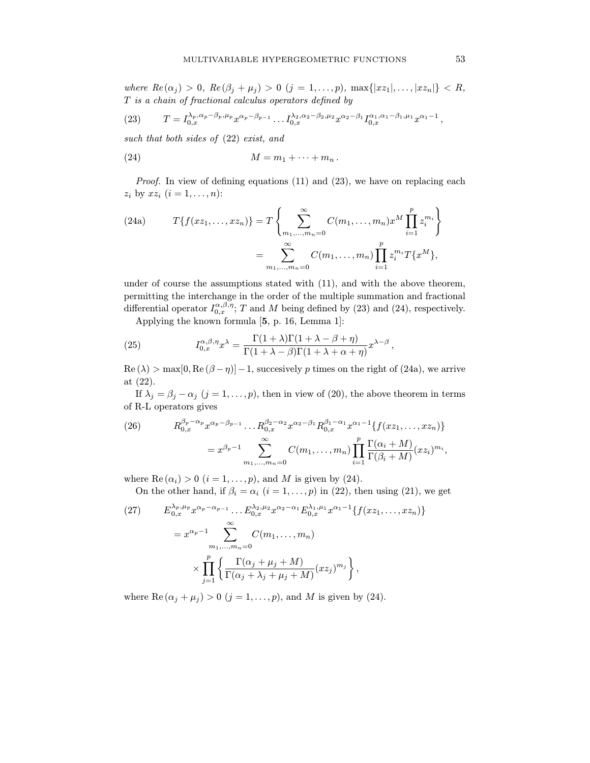where  $\text{Re}(x_j) > 0$ ,  $\text{Re}(y_j + p_j) > 0$  (j = 1, ..., p), max $\text{Im}(x_1, \ldots, x_n)$   $\text{Im}(x_n) > 0$ ,

(23) 
$$
T = I_{0,x}^{\lambda_p, \alpha_p - \beta_p, \mu_p} x^{\alpha_p - \beta_{p-1}} \dots I_{0,x}^{\lambda_2, \alpha_2 - \beta_2, \mu_2} x^{\alpha_2 - \beta_1} I_{0,x}^{\alpha_1, \alpha_1 - \beta_1, \mu_1} x^{\alpha_1 - 1},
$$

such that both sides of  $(22)$  exist, and

$$
(24) \t\t\t\t M = m_1 + \cdots + m_n.
$$

 $\beta$  is a set of defining equations (1) and (2), we have  $\beta$  and  $\beta$  $z_i$  by  $z_i$  (i =  $i$ , . . . . , . . . ):

(24a) 
$$
T\{f(xz_1,...,xz_n)\} = T\left\{\sum_{m_1,...,m_n=0}^{\infty} C(m_1,...,m_n)x^M \prod_{i=1}^p z_i^{m_i}\right\}
$$

$$
= \sum_{m_1,...,m_n=0}^{\infty} C(m_1,...,m_n) \prod_{i=1}^p z_i^{m_i} T\{x^M\},
$$

under of course the assumptions stated with  $(11)$ , and with the above theorem, permitting the interchange in the order of the multiple summation and fractional permitting the interchange in the create or the multiple summation and fractional differential energy  $I^{\alpha,\beta,\eta}$ ,  $T$  and M being defined by (92) and (94), reconceively. differential operator  $I_{0,x}^{(m)}$ ; T and M being defined by (23) and (24), respectively.

Applying the known formula [5, p. 16, Lemma 1]:

(25) 
$$
I_{0,x}^{\alpha,\beta,\eta}x^{\lambda} = \frac{\Gamma(1+\lambda)\Gamma(1+\lambda-\beta+\eta)}{\Gamma(1+\lambda-\beta)\Gamma(1+\lambda+\alpha+\eta)}x^{\lambda-\beta},
$$

 $\text{Re}(\lambda) > \max[0, \text{Re}(\beta - \eta)] - 1$ , succesively p times on the right of (24a), we arrive at (22).

 $\frac{1}{2}$  $\mathbf{P} \cdot \mathbf{P} \cdot \mathbf{P} \cdot \mathbf{P} \cdot \mathbf{P} \cdot \mathbf{P} \cdot \mathbf{P} \cdot \mathbf{P} \cdot \mathbf{P} \cdot \mathbf{P} \cdot \mathbf{P} \cdot \mathbf{P} \cdot \mathbf{P} \cdot \mathbf{P} \cdot \mathbf{P} \cdot \mathbf{P} \cdot \mathbf{P} \cdot \mathbf{P} \cdot \mathbf{P} \cdot \mathbf{P} \cdot \mathbf{P} \cdot \mathbf{P} \cdot \mathbf{P} \cdot \mathbf{P} \cdot \mathbf{P} \cdot \mathbf{P} \cdot \mathbf{P} \cdot \mathbf{$ of R-L operators gives

(26) 
$$
R_{0,x}^{\beta_p - \alpha_p} x^{\alpha_p - \beta_{p-1}} \dots R_{0,x}^{\beta_2 - \alpha_2} x^{\alpha_2 - \beta_1} R_{0,x}^{\beta_1 - \alpha_1} x^{\alpha_1 - 1} \{f(xz_1, \dots, xz_n)\}
$$

$$
= x^{\beta_p - 1} \sum_{m_1, \dots, m_n = 0}^{\infty} C(m_1, \dots, m_n) \prod_{i=1}^p \frac{\Gamma(\alpha_i + M)}{\Gamma(\beta_i + M)} (xz_i)^{m_i},
$$

Where Re  $(a_i)$  is  $(1, ..., p)$ , and  $M = \infty$  given by  $(-1)$ .<br>On the other hand if  $\beta_i = \alpha_i (i-1, ..., p)$  in (22). the  $\sum_{i=1}^{n} \frac{1}{i} \sum_{i=1}^{n} \frac{1}{i} \sum_{j=1}^{n} \frac{1}{i} \sum_{j=1}^{n} \frac{1}{i} \sum_{j=1}^{n} \frac{1}{i} \sum_{j=1}^{n} \frac{1}{i} \sum_{j=1}^{n} \frac{1}{i} \sum_{j=1}^{n} \frac{1}{i} \sum_{j=1}^{n} \frac{1}{i} \sum_{j=1}^{n} \frac{1}{i} \sum_{j=1}^{n} \frac{1}{i} \sum_{j=1}^{n} \frac{1}{i} \sum_{j=1}^{n} \frac{1}{i$ 

(27) 
$$
E_{0,x}^{\lambda_p,\mu_p} x^{\alpha_p - \alpha_{p-1}} \dots E_{0,x}^{\lambda_2,\mu_2} x^{\alpha_2 - \alpha_1} E_{0,x}^{\lambda_1,\mu_1} x^{\alpha_1 - 1} \{f(xz_1,\dots,xz_n)\}
$$

$$
= x^{\alpha_p - 1} \sum_{m_1,\dots,m_n=0}^{\infty} C(m_1,\dots,m_n)
$$

$$
\times \prod_{j=1}^p \left\{ \frac{\Gamma(\alpha_j + \mu_j + M)}{\Gamma(\alpha_j + \lambda_j + \mu_j + M)} (xz_j)^{m_j} \right\},
$$

where Re  $(\alpha_j + \mu_j) > 0$   $(j = 1, \ldots, p)$ , and M is given by (24).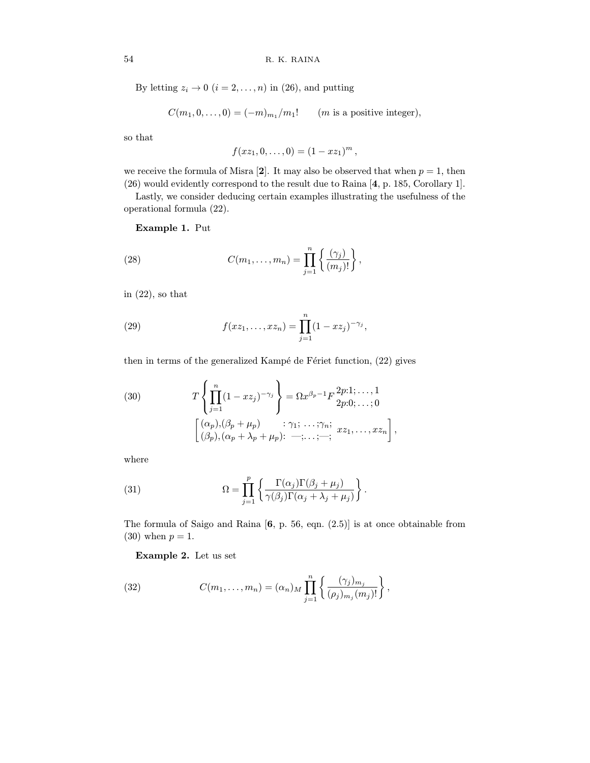By letting  $z_i \to 0$   $(i = 2, \ldots, n)$  in (26), and putting

$$
C(m_1,0,\ldots,0)=(-m)_{m_1}/m_1!\qquad (m\text{ is a positive integer}),
$$

so that

$$
f(xz_1,0,\ldots,0)=(1-xz_1)^m\,,
$$

we receive the formula of Misra [2]. It may also be observed that when  $p = 1$ , then (26) would evidently correspond to the result due to Raina [4, p. 185, Corollary 1].

Lastly, we consider deducing certain examples illustrating the usefulness of the  $\mathbb{R}^n$  and  $\mathbb{R}^n$  and  $\mathbb{R}^n$  and usefulness of the usefulness of the usefulness of the usefulness of the usefulness of the usefulness of the usefulness of the usefulness of the usefulness of the usefulness of  $\mathbf{r}$  for all  $\mathbf{r}$  formula  $(22)$ .

Example 1. Put

(28) 
$$
C(m_1, ..., m_n) = \prod_{j=1}^n \left\{ \frac{(\gamma_j)}{(m_j)!} \right\},
$$

in  $(22)$ , so that

(29) 
$$
f(xz_1,...,xz_n) = \prod_{j=1}^n (1-xz_j)^{-\gamma_j},
$$

then in terms of the generalized Kampé de Fériet function,  $(22)$  gives

(30) 
$$
T\left\{\prod_{j=1}^{n}(1-xz_j)^{-\gamma_j}\right\} = \Omega x^{\beta_p-1}F\frac{2p:1;\ldots,1}{2p:0;\ldots;0}
$$

$$
\left[\frac{(\alpha_p),(\beta_p+\mu_p))}{(\beta_p),(\alpha_p+\lambda_p+\mu_p);\ldots;\ldots;\vdots,xz_1,\ldots,xz_n}\right],
$$

where

(31) 
$$
\Omega = \prod_{j=1}^{p} \left\{ \frac{\Gamma(\alpha_j) \Gamma(\beta_j + \mu_j)}{\gamma(\beta_j) \Gamma(\alpha_j + \lambda_j + \mu_j)} \right\}
$$

The formula of Saigo and Raina [6, p. 56, eqn. (2.5)] is at once obtainable from  $(30)$  when  $p = 1$ .

Example 2. Let us set

(32) 
$$
C(m_1,...,m_n) = (\alpha_n)_M \prod_{j=1}^n \left\{ \frac{(\gamma_j)_{m_j}}{(\rho_j)_{m_j}(m_j)!} \right\},
$$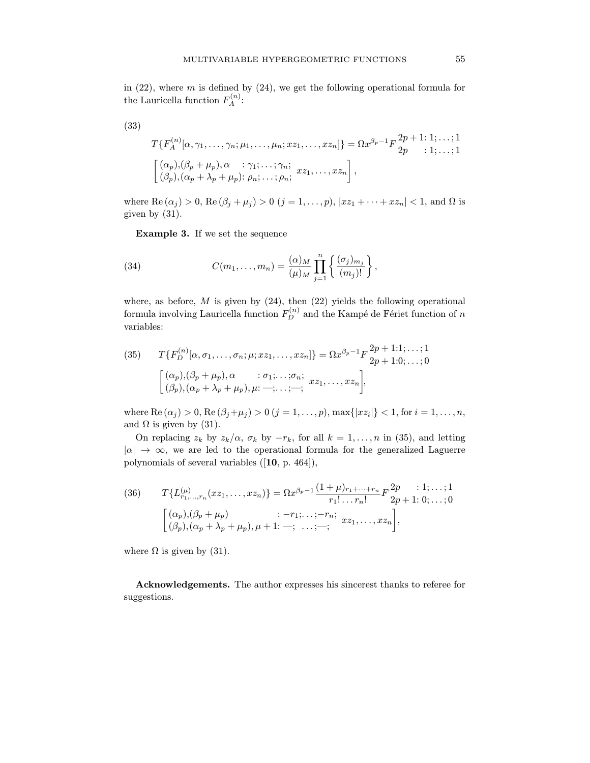the Lauricella function  $F_A^{(n)}$ :

$$
(33)
$$

$$
T\{F_A^{(n)}[\alpha, \gamma_1, \ldots, \gamma_n; \mu_1, \ldots, \mu_n; x z_1, \ldots, x z_n]\} = \Omega x^{\beta_p - 1} F \frac{2p + 1; 1; \ldots; 1}{2p} \quad (1; \ldots; 1)
$$
  

$$
\left[ \begin{array}{ll} (\alpha_p), (\beta_p + \mu_p), \alpha & \vdots \gamma_1; \ldots; \gamma_n; \\ (\beta_p), (\alpha_p + \lambda_p + \mu_p); \rho_n; \ldots; \rho_n; & \vdots \end{array} \right],
$$

where Re  $(\alpha_j) > 0$ , Re  $(\beta_j + \mu_j) > 0$   $(j = 1, \ldots, p)$ ,  $|xz_1 + \cdots + zz_n| < 1$ , and  $\Omega$  is given by (31).

Example 3. If we set the sequence

(34) 
$$
C(m_1,...,m_n) = \frac{(\alpha)_M}{(\mu)_M} \prod_{j=1}^n \left\{ \frac{(\sigma_j)_{m_j}}{(m_j)!} \right\},
$$

formula involving Lauricella function  $F_D^{(n)}$  and the Kampé de Fériet function of n

(35) 
$$
T\{F_D^{(n)}[\alpha, \sigma_1, \dots, \sigma_n; \mu; x z_1, \dots, x z_n]\} = \Omega x^{\beta_p - 1} F \frac{2p + 1:1; \dots; 1}{2p + 1:0; \dots; 0}
$$

$$
\begin{bmatrix}\n(\alpha_p), (\beta_p + \mu_p), \alpha & \vdots \sigma_1; \dots; \sigma_n; & x z_1, \dots, x z_n \\
(\beta_p), (\alpha_p + \lambda_p + \mu_p), \mu; \dots; \dots; \dots; & \vdots\n\end{bmatrix},
$$

where Re  $(\alpha_j) > 0$ , Re  $(\beta_j + \mu_j) > 0$   $(j = 1, \ldots, p)$ , max $\{|xz_i|\} < 1$ , for  $i = 1, \ldots, n$ , and  $\Omega$  is given by (31).

On replacing  $z_k$  by  $z_k/\alpha$ ,  $\sigma_k$  by  $-r_k$ , for all  $k = 1, ..., n$  in (35), and letting  $|\alpha| \to \infty$ , we are led to the operational formula for the generalized Laguerre  $\frac{1}{\sqrt{2}}$  are are led to the operational formula for the generalized Laguerre  $\mathbf{p} \cdot \mathbf{y}$  and several variables ([10, p. 464]),

(36) 
$$
T\{L_{r_1,\dots,r_n}^{(\mu)}(xz_1,\dots,xz_n)\} = \Omega x^{\beta_p - 1} \frac{(1+\mu)_{r_1+\dots+r_n}}{r_1! \dots r_n!} F \frac{2p}{2p+1:0;\dots;0}
$$

$$
\begin{bmatrix}\n(\alpha_p), (\beta_p + \mu_p) & \dots -r_1; \dots; -r_n; \\
(\beta_p), (\alpha_p + \lambda_p + \mu_p), \mu + 1; -; \dots; -; & xz_1, \dots, xz_n\n\end{bmatrix},
$$

where  $\Omega$  is given by (31).

Acknowledgements. The author expresses his sincerest thanks to referee for suggestions.